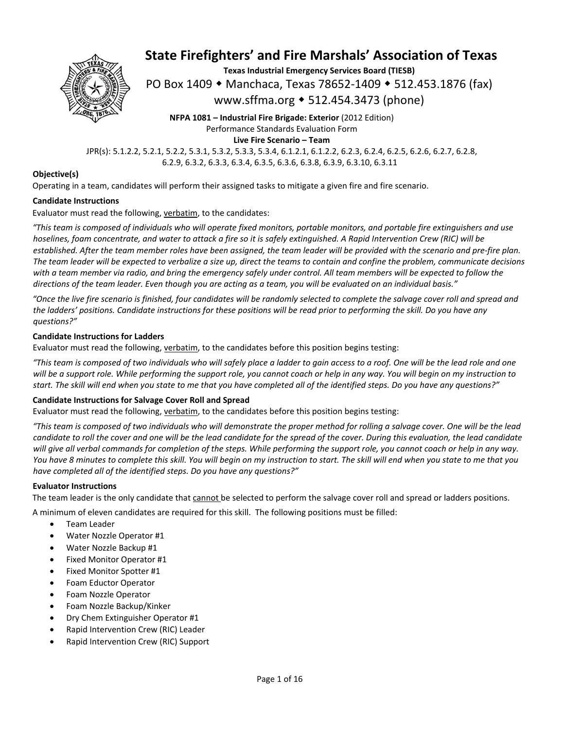

**Texas Industrial Emergency Services Board (TIESB)** 

PO Box 1409 ◆ Manchaca, Texas 78652-1409 ◆ 512.453.1876 (fax)

www.sffma.org 512.454.3473 (phone)

**NFPA 1081 – Industrial Fire Brigade: Exterior** (2012 Edition) Performance Standards Evaluation Form **Live Fire Scenario – Team** 

JPR(s): 5.1.2.2, 5.2.1, 5.2.2, 5.3.1, 5.3.2, 5.3.3, 5.3.4, 6.1.2.1, 6.1.2.2, 6.2.3, 6.2.4, 6.2.5, 6.2.6, 6.2.7, 6.2.8, 6.2.9, 6.3.2, 6.3.3, 6.3.4, 6.3.5, 6.3.6, 6.3.8, 6.3.9, 6.3.10, 6.3.11

#### **Objective(s)**

Operating in a team, candidates will perform their assigned tasks to mitigate a given fire and fire scenario.

#### **Candidate Instructions**

Evaluator must read the following, verbatim, to the candidates:

*"This team is composed of individuals who will operate fixed monitors, portable monitors, and portable fire extinguishers and use hoselines, foam concentrate, and water to attack a fire so it is safely extinguished. A Rapid Intervention Crew (RIC) will be established. After the team member roles have been assigned, the team leader will be provided with the scenario and pre‐fire plan. The team leader will be expected to verbalize a size up, direct the teams to contain and confine the problem, communicate decisions*  with a team member via radio, and bring the emergency safely under control. All team members will be expected to follow the *directions of the team leader. Even though you are acting as a team, you will be evaluated on an individual basis."* 

*"Once the live fire scenario is finished, four candidates will be randomly selected to complete the salvage cover roll and spread and the ladders' positions. Candidate instructions for these positions will be read prior to performing the skill. Do you have any questions?"* 

#### **Candidate Instructions for Ladders**

Evaluator must read the following, verbatim, to the candidates before this position begins testing:

*"This team is composed of two individuals who will safely place a ladder to gain access to a roof. One will be the lead role and one will be a support role. While performing the support role, you cannot coach or help in any way. You will begin on my instruction to start. The skill will end when you state to me that you have completed all of the identified steps. Do you have any questions?"* 

#### **Candidate Instructions for Salvage Cover Roll and Spread**

Evaluator must read the following, verbatim, to the candidates before this position begins testing:

*"This team is composed of two individuals who will demonstrate the proper method for rolling a salvage cover. One will be the lead candidate to roll the cover and one will be the lead candidate for the spread of the cover. During this evaluation, the lead candidate will give all verbal commands for completion of the steps. While performing the support role, you cannot coach or help in any way. You have 8 minutes to complete this skill. You will begin on my instruction to start. The skill will end when you state to me that you have completed all of the identified steps. Do you have any questions?"* 

#### **Evaluator Instructions**

The team leader is the only candidate that cannot be selected to perform the salvage cover roll and spread or ladders positions.

A minimum of eleven candidates are required for this skill. The following positions must be filled:

- Team Leader
- Water Nozzle Operator #1
- Water Nozzle Backup #1
- Fixed Monitor Operator #1
- Fixed Monitor Spotter #1
- Foam Eductor Operator
- Foam Nozzle Operator
- Foam Nozzle Backup/Kinker
- Dry Chem Extinguisher Operator #1
- Rapid Intervention Crew (RIC) Leader
- Rapid Intervention Crew (RIC) Support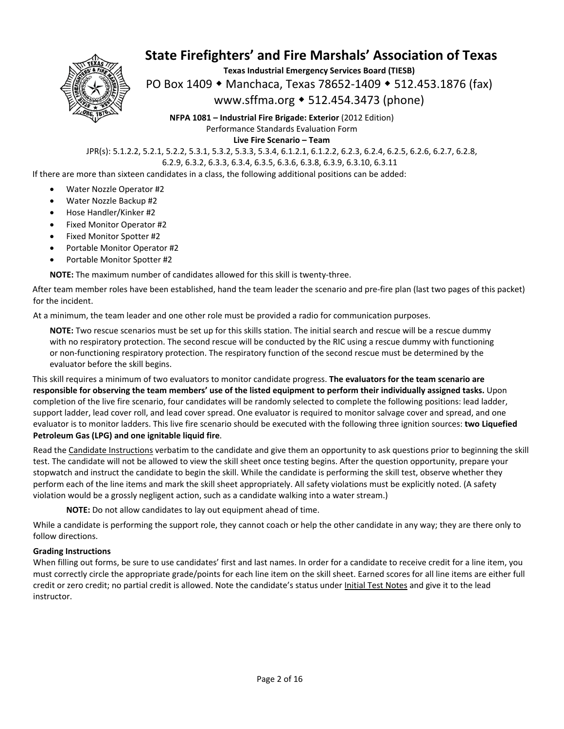

**Texas Industrial Emergency Services Board (TIESB)** 

PO Box 1409 ◆ Manchaca, Texas 78652-1409 ◆ 512.453.1876 (fax)

#### www.sffma.org 512.454.3473 (phone)

**NFPA 1081 – Industrial Fire Brigade: Exterior** (2012 Edition) Performance Standards Evaluation Form **Live Fire Scenario – Team** 

JPR(s): 5.1.2.2, 5.2.1, 5.2.2, 5.3.1, 5.3.2, 5.3.3, 5.3.4, 6.1.2.1, 6.1.2.2, 6.2.3, 6.2.4, 6.2.5, 6.2.6, 6.2.7, 6.2.8, 6.2.9, 6.3.2, 6.3.3, 6.3.4, 6.3.5, 6.3.6, 6.3.8, 6.3.9, 6.3.10, 6.3.11

If there are more than sixteen candidates in a class, the following additional positions can be added:

- Water Nozzle Operator #2
- Water Nozzle Backup #2
- Hose Handler/Kinker #2
- Fixed Monitor Operator #2
- Fixed Monitor Spotter #2
- Portable Monitor Operator #2
- Portable Monitor Spotter #2

**NOTE:** The maximum number of candidates allowed for this skill is twenty‐three.

After team member roles have been established, hand the team leader the scenario and pre‐fire plan (last two pages of this packet) for the incident.

At a minimum, the team leader and one other role must be provided a radio for communication purposes.

**NOTE:** Two rescue scenarios must be set up for this skills station. The initial search and rescue will be a rescue dummy with no respiratory protection. The second rescue will be conducted by the RIC using a rescue dummy with functioning or non‐functioning respiratory protection. The respiratory function of the second rescue must be determined by the evaluator before the skill begins.

This skill requires a minimum of two evaluators to monitor candidate progress. **The evaluators for the team scenario are responsible for observing the team members' use of the listed equipment to perform their individually assigned tasks.** Upon completion of the live fire scenario, four candidates will be randomly selected to complete the following positions: lead ladder, support ladder, lead cover roll, and lead cover spread. One evaluator is required to monitor salvage cover and spread, and one evaluator is to monitor ladders. This live fire scenario should be executed with the following three ignition sources: **two Liquefied Petroleum Gas (LPG) and one ignitable liquid fire**.

Read the Candidate Instructions verbatim to the candidate and give them an opportunity to ask questions prior to beginning the skill test. The candidate will not be allowed to view the skill sheet once testing begins. After the question opportunity, prepare your stopwatch and instruct the candidate to begin the skill. While the candidate is performing the skill test, observe whether they perform each of the line items and mark the skill sheet appropriately. All safety violations must be explicitly noted. (A safety violation would be a grossly negligent action, such as a candidate walking into a water stream.)

**NOTE:** Do not allow candidates to lay out equipment ahead of time.

While a candidate is performing the support role, they cannot coach or help the other candidate in any way; they are there only to follow directions.

#### **Grading Instructions**

When filling out forms, be sure to use candidates' first and last names. In order for a candidate to receive credit for a line item, you must correctly circle the appropriate grade/points for each line item on the skill sheet. Earned scores for all line items are either full credit or zero credit; no partial credit is allowed. Note the candidate's status under Initial Test Notes and give it to the lead instructor.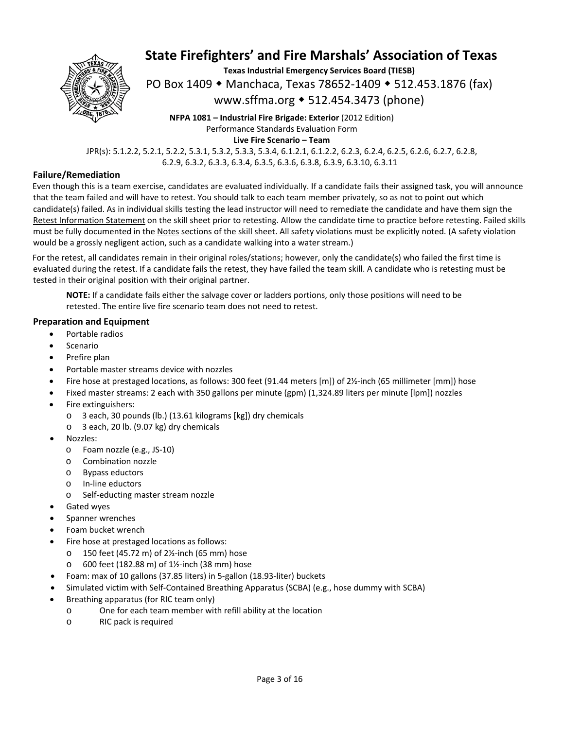

**Texas Industrial Emergency Services Board (TIESB)**  PO Box 1409 ◆ Manchaca, Texas 78652-1409 ◆ 512.453.1876 (fax)

www.sffma.org 512.454.3473 (phone)

**NFPA 1081 – Industrial Fire Brigade: Exterior** (2012 Edition) Performance Standards Evaluation Form **Live Fire Scenario – Team** 

JPR(s): 5.1.2.2, 5.2.1, 5.2.2, 5.3.1, 5.3.2, 5.3.3, 5.3.4, 6.1.2.1, 6.1.2.2, 6.2.3, 6.2.4, 6.2.5, 6.2.6, 6.2.7, 6.2.8, 6.2.9, 6.3.2, 6.3.3, 6.3.4, 6.3.5, 6.3.6, 6.3.8, 6.3.9, 6.3.10, 6.3.11

#### **Failure/Remediation**

Even though this is a team exercise, candidates are evaluated individually. If a candidate fails their assigned task, you will announce that the team failed and will have to retest. You should talk to each team member privately, so as not to point out which candidate(s) failed. As in individual skills testing the lead instructor will need to remediate the candidate and have them sign the Retest Information Statement on the skill sheet prior to retesting. Allow the candidate time to practice before retesting. Failed skills must be fully documented in the Notes sections of the skill sheet. All safety violations must be explicitly noted. (A safety violation would be a grossly negligent action, such as a candidate walking into a water stream.)

For the retest, all candidates remain in their original roles/stations; however, only the candidate(s) who failed the first time is evaluated during the retest. If a candidate fails the retest, they have failed the team skill. A candidate who is retesting must be tested in their original position with their original partner.

**NOTE:** If a candidate fails either the salvage cover or ladders portions, only those positions will need to be retested. The entire live fire scenario team does not need to retest.

#### **Preparation and Equipment**

- Portable radios
- Scenario
- Prefire plan
- Portable master streams device with nozzles
- Fire hose at prestaged locations, as follows: 300 feet (91.44 meters [m]) of 2½‐inch (65 millimeter [mm]) hose
- Fixed master streams: 2 each with 350 gallons per minute (gpm) (1,324.89 liters per minute [lpm]) nozzles
- Fire extinguishers:
	- o 3 each, 30 pounds (lb.) (13.61 kilograms [kg]) dry chemicals
	- o 3 each, 20 lb. (9.07 kg) dry chemicals
- Nozzles:
	- o Foam nozzle (e.g., JS‐10)
	- o Combination nozzle
	- o Bypass eductors
	- o In‐line eductors
	- o Self‐educting master stream nozzle
- Gated wyes
- Spanner wrenches
- Foam bucket wrench
- Fire hose at prestaged locations as follows:
	- o 150 feet (45.72 m) of 2½‐inch (65 mm) hose
	- o 600 feet (182.88 m) of 1½‐inch (38 mm) hose
- Foam: max of 10 gallons (37.85 liters) in 5‐gallon (18.93‐liter) buckets
- Simulated victim with Self‐Contained Breathing Apparatus (SCBA) (e.g., hose dummy with SCBA)
- Breathing apparatus (for RIC team only)
	- o One for each team member with refill ability at the location
	- o RIC pack is required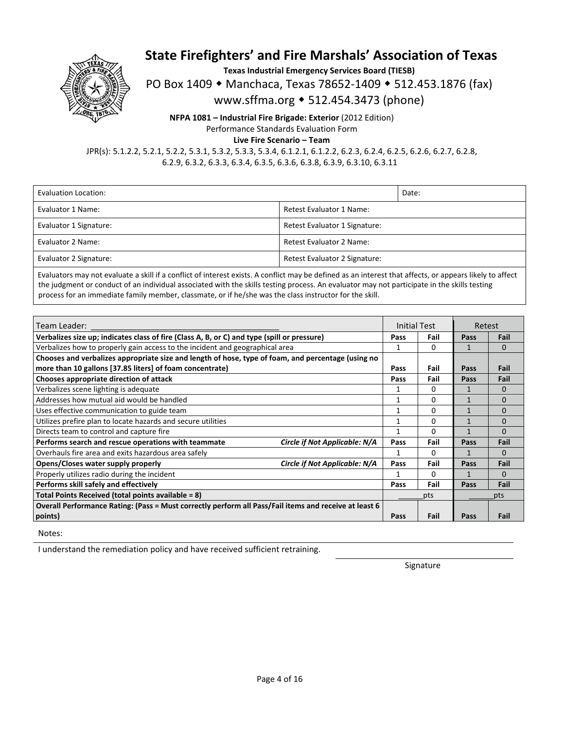

**Texas Industrial Emergency Services Board (TIESB)** 

PO Box 1409 • Manchaca, Texas 78652-1409 • 512.453.1876 (fax)

www.sffma.org 512.454.3473 (phone)

**NFPA 1081 – Industrial Fire Brigade: Exterior** (2012 Edition) Performance Standards Evaluation Form

**Live Fire Scenario – Team** 

JPR(s): 5.1.2.2, 5.2.1, 5.2.2, 5.3.1, 5.3.2, 5.3.3, 5.3.4, 6.1.2.1, 6.1.2.2, 6.2.3, 6.2.4, 6.2.5, 6.2.6, 6.2.7, 6.2.8, 6.2.9, 6.3.2, 6.3.3, 6.3.4, 6.3.5, 6.3.6, 6.3.8, 6.3.9, 6.3.10, 6.3.11

| Evaluation Location:   |                               | Date: |  |
|------------------------|-------------------------------|-------|--|
| Evaluator 1 Name:      | Retest Evaluator 1 Name:      |       |  |
| Evaluator 1 Signature: | Retest Evaluator 1 Signature: |       |  |
| Evaluator 2 Name:      | Retest Evaluator 2 Name:      |       |  |
| Evaluator 2 Signature: | Retest Evaluator 2 Signature: |       |  |

Evaluators may not evaluate a skill if a conflict of interest exists. A conflict may be defined as an interest that affects, or appears likely to affect the judgment or conduct of an individual associated with the skills testing process. An evaluator may not participate in the skills testing process for an immediate family member, classmate, or if he/she was the class instructor for the skill.

| Team Leader:                                                                                          |                               | Initial Test |      | Retest |          |
|-------------------------------------------------------------------------------------------------------|-------------------------------|--------------|------|--------|----------|
| Verbalizes size up; indicates class of fire (Class A, B, or C) and type (spill or pressure)           |                               | Pass         | Fail | Pass   | Fail     |
| Verbalizes how to properly gain access to the incident and geographical area                          |                               | 1            | 0    |        | $\Omega$ |
| Chooses and verbalizes appropriate size and length of hose, type of foam, and percentage (using no    |                               |              |      |        |          |
| more than 10 gallons [37.85 liters] of foam concentrate)                                              |                               | Pass         | Fail | Pass   | Fail     |
| Chooses appropriate direction of attack                                                               |                               | Pass         | Fail | Pass   | Fail     |
| Verbalizes scene lighting is adequate                                                                 |                               | 1            | 0    |        | $\Omega$ |
| Addresses how mutual aid would be handled                                                             |                               | 1            | 0    |        | $\Omega$ |
| Uses effective communication to guide team                                                            |                               | 1            | 0    | 1      | $\Omega$ |
| Utilizes prefire plan to locate hazards and secure utilities                                          |                               | 1            | 0    |        | $\Omega$ |
| Directs team to control and capture fire                                                              |                               | 1            | 0    |        | $\Omega$ |
| Performs search and rescue operations with teammate                                                   | Circle if Not Applicable: N/A | Pass         | Fail | Pass   | Fail     |
| Overhauls fire area and exits hazardous area safely                                                   |                               |              | 0    |        | $\Omega$ |
| Opens/Closes water supply properly                                                                    | Circle if Not Applicable: N/A | Pass         | Fail | Pass   | Fail     |
| Properly utilizes radio during the incident                                                           |                               | 1            | 0    |        | $\Omega$ |
| Performs skill safely and effectively                                                                 |                               | Pass         | Fail | Pass   | Fail     |
| Total Points Received (total points available = 8)                                                    |                               |              | pts  |        | pts      |
| Overall Performance Rating: (Pass = Must correctly perform all Pass/Fail items and receive at least 6 |                               |              |      |        |          |
| points)                                                                                               |                               | Pass         | Fail | Pass   | Fail     |

Notes:

I understand the remediation policy and have received sufficient retraining.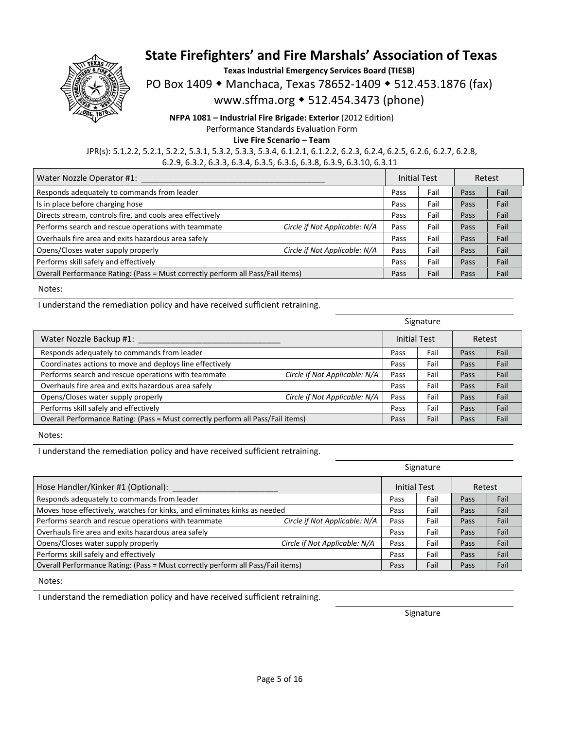

**Texas Industrial Emergency Services Board (TIESB)** 

PO Box 1409 • Manchaca, Texas 78652-1409 • 512.453.1876 (fax)

www.sffma.org 512.454.3473 (phone)

**NFPA 1081 – Industrial Fire Brigade: Exterior** (2012 Edition) Performance Standards Evaluation Form **Live Fire Scenario – Team** 

JPR(s): 5.1.2.2, 5.2.1, 5.2.2, 5.3.1, 5.3.2, 5.3.3, 5.3.4, 6.1.2.1, 6.1.2.2, 6.2.3, 6.2.4, 6.2.5, 6.2.6, 6.2.7, 6.2.8, 6.2.9, 6.3.2, 6.3.3, 6.3.4, 6.3.5, 6.3.6, 6.3.8, 6.3.9, 6.3.10, 6.3.11

| Water Nozzle Operator #1:                                                       |                               | <b>Initial Test</b> |      | Retest |      |
|---------------------------------------------------------------------------------|-------------------------------|---------------------|------|--------|------|
| Responds adequately to commands from leader                                     |                               | Pass                | Fail | Pass   | Fail |
| Is in place before charging hose                                                |                               | Pass                | Fail | Pass   | Fail |
| Directs stream, controls fire, and cools area effectively                       |                               | Pass                | Fail | Pass   | Fail |
| Performs search and rescue operations with teammate                             | Circle if Not Applicable: N/A | Pass                | Fail | Pass   | Fail |
| Overhauls fire area and exits hazardous area safely                             |                               | Pass                | Fail | Pass   | Fail |
| Opens/Closes water supply properly                                              | Circle if Not Applicable: N/A | Pass                | Fail | Pass   | Fail |
| Performs skill safely and effectively                                           |                               | Pass                | Fail | Pass   | Fail |
| Overall Performance Rating: (Pass = Must correctly perform all Pass/Fail items) |                               | Pass                | Fail | Pass   | Fail |

Notes:

I understand the remediation policy and have received sufficient retraining.

|                                                                                 |                               |                     | Signature |        |      |
|---------------------------------------------------------------------------------|-------------------------------|---------------------|-----------|--------|------|
| Water Nozzle Backup #1:                                                         |                               | <b>Initial Test</b> |           | Retest |      |
| Responds adequately to commands from leader                                     |                               | Pass                | Fail      | Pass   | Fail |
| Coordinates actions to move and deploys line effectively                        |                               | Pass                | Fail      | Pass   | Fail |
| Performs search and rescue operations with teammate                             | Circle if Not Applicable: N/A | Pass                | Fail      | Pass   | Fail |
| Overhauls fire area and exits hazardous area safely                             |                               | Pass                | Fail      | Pass   | Fail |
| Opens/Closes water supply properly                                              | Circle if Not Applicable: N/A | Pass                | Fail      | Pass   | Fail |
| Performs skill safely and effectively                                           |                               | Pass                | Fail      | Pass   | Fail |
| Overall Performance Rating: (Pass = Must correctly perform all Pass/Fail items) |                               | Pass                | Fail      | Pass   | Fail |

Notes:

I understand the remediation policy and have received sufficient retraining.

|                                                                                 |                               | Signature           |      |        |      |
|---------------------------------------------------------------------------------|-------------------------------|---------------------|------|--------|------|
| Hose Handler/Kinker #1 (Optional):                                              |                               | <b>Initial Test</b> |      | Retest |      |
| Responds adequately to commands from leader                                     |                               | Pass                | Fail | Pass   | Fail |
| Moves hose effectively, watches for kinks, and eliminates kinks as needed       |                               | Pass                | Fail | Pass   | Fail |
| Performs search and rescue operations with teammate                             | Circle if Not Applicable: N/A | Pass                | Fail | Pass   | Fail |
| Overhauls fire area and exits hazardous area safely                             |                               | Pass                | Fail | Pass   | Fail |
| Opens/Closes water supply properly                                              | Circle if Not Applicable: N/A | Pass                | Fail | Pass   | Fail |
| Performs skill safely and effectively                                           |                               | Pass                | Fail | Pass   | Fail |
| Overall Performance Rating: (Pass = Must correctly perform all Pass/Fail items) |                               | Pass                | Fail | Pass   | Fail |

Notes:

I understand the remediation policy and have received sufficient retraining.

Signature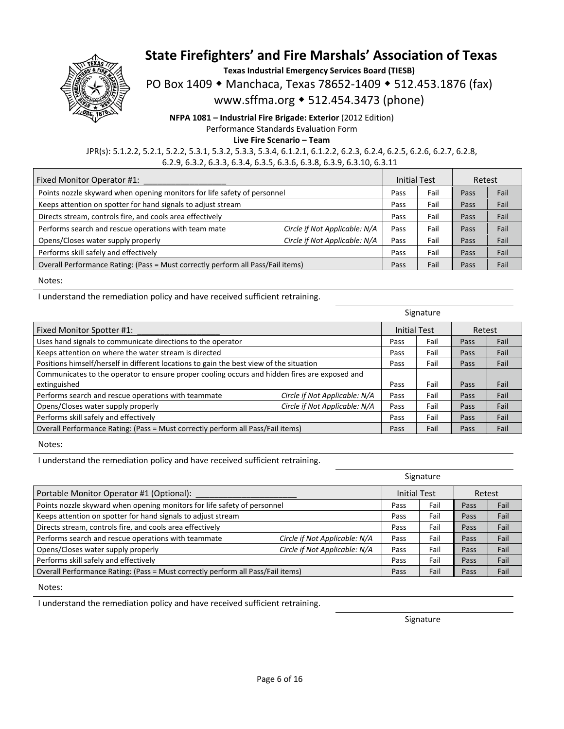

**Texas Industrial Emergency Services Board (TIESB)** 

PO Box 1409 • Manchaca, Texas 78652-1409 • 512.453.1876 (fax)

www.sffma.org 512.454.3473 (phone)

**NFPA 1081 – Industrial Fire Brigade: Exterior** (2012 Edition) Performance Standards Evaluation Form **Live Fire Scenario – Team** 

JPR(s): 5.1.2.2, 5.2.1, 5.2.2, 5.3.1, 5.3.2, 5.3.3, 5.3.4, 6.1.2.1, 6.1.2.2, 6.2.3, 6.2.4, 6.2.5, 6.2.6, 6.2.7, 6.2.8, 6.2.9, 6.3.2, 6.3.3, 6.3.4, 6.3.5, 6.3.6, 6.3.8, 6.3.9, 6.3.10, 6.3.11

| Fixed Monitor Operator #1:                                                      |                               | <b>Initial Test</b> |      | Retest |      |
|---------------------------------------------------------------------------------|-------------------------------|---------------------|------|--------|------|
| Points nozzle skyward when opening monitors for life safety of personnel        |                               | Pass                | Fail | Pass   | Fail |
| Keeps attention on spotter for hand signals to adjust stream                    |                               | Pass                | Fail | Pass   | Fail |
| Directs stream, controls fire, and cools area effectively                       |                               | Pass                | Fail | Pass   | Fail |
| Performs search and rescue operations with team mate                            | Circle if Not Applicable: N/A | Pass                | Fail | Pass   | Fail |
| Opens/Closes water supply properly                                              | Circle if Not Applicable: N/A | Pass                | Fail | Pass   | Fail |
| Performs skill safely and effectively                                           |                               | Pass                | Fail | Pass   | Fail |
| Overall Performance Rating: (Pass = Must correctly perform all Pass/Fail items) |                               | Pass                | Fail | Pass   | Fail |

Notes:

I understand the remediation policy and have received sufficient retraining.

| Fixed Monitor Spotter #1:                                                                     |                               | <b>Initial Test</b> |      | Retest |      |
|-----------------------------------------------------------------------------------------------|-------------------------------|---------------------|------|--------|------|
| Uses hand signals to communicate directions to the operator                                   |                               | Pass                | Fail | Pass   | Fail |
| Keeps attention on where the water stream is directed                                         |                               | Pass                | Fail | Pass   | Fail |
| Positions himself/herself in different locations to gain the best view of the situation       |                               | Pass                | Fail | Pass   | Fail |
| Communicates to the operator to ensure proper cooling occurs and hidden fires are exposed and |                               |                     |      |        |      |
| extinguished                                                                                  |                               | Pass                | Fail | Pass   | Fail |
| Performs search and rescue operations with teammate                                           | Circle if Not Applicable: N/A | Pass                | Fail | Pass   | Fail |
| Opens/Closes water supply properly                                                            | Circle if Not Applicable: N/A | Pass                | Fail | Pass   | Fail |
| Performs skill safely and effectively                                                         |                               | Pass                | Fail | Pass   | Fail |
| Overall Performance Rating: (Pass = Must correctly perform all Pass/Fail items)               |                               | Pass                | Fail | Pass   | Fail |

Notes:

I understand the remediation policy and have received sufficient retraining.

|                                                                                 |                               | Signature           |      |        |      |
|---------------------------------------------------------------------------------|-------------------------------|---------------------|------|--------|------|
| Portable Monitor Operator #1 (Optional):                                        |                               | <b>Initial Test</b> |      | Retest |      |
| Points nozzle skyward when opening monitors for life safety of personnel        |                               | Pass                | Fail | Pass   | Fail |
| Keeps attention on spotter for hand signals to adjust stream                    |                               | Pass                | Fail | Pass   | Fail |
| Directs stream, controls fire, and cools area effectively                       |                               | Pass                | Fail | Pass   | Fail |
| Performs search and rescue operations with teammate                             | Circle if Not Applicable: N/A | Pass                | Fail | Pass   | Fail |
| Opens/Closes water supply properly                                              | Circle if Not Applicable: N/A | Pass                | Fail | Pass   | Fail |
| Performs skill safely and effectively                                           |                               | Pass                | Fail | Pass   | Fail |
| Overall Performance Rating: (Pass = Must correctly perform all Pass/Fail items) |                               | Pass                | Fail | Pass   | Fail |

Notes:

I understand the remediation policy and have received sufficient retraining.

Signature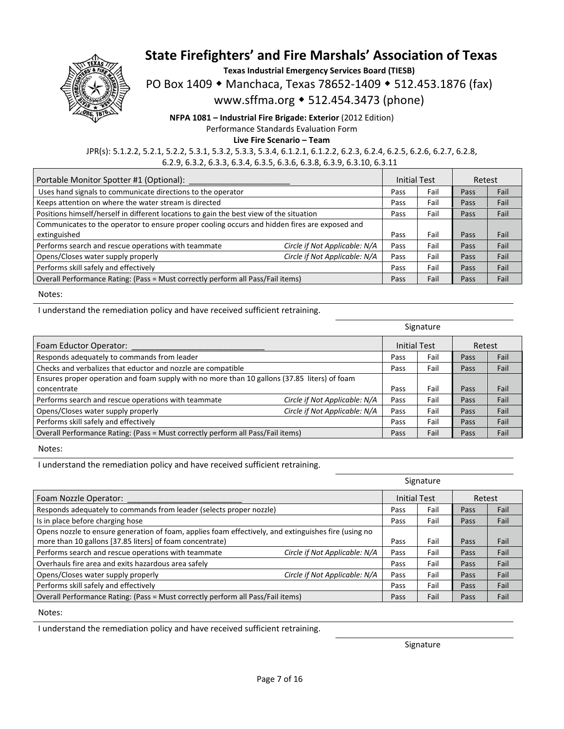

**Texas Industrial Emergency Services Board (TIESB)** 

PO Box 1409 • Manchaca, Texas 78652-1409 • 512.453.1876 (fax)

www.sffma.org 512.454.3473 (phone)

**NFPA 1081 – Industrial Fire Brigade: Exterior** (2012 Edition) Performance Standards Evaluation Form

**Live Fire Scenario – Team** 

JPR(s): 5.1.2.2, 5.2.1, 5.2.2, 5.3.1, 5.3.2, 5.3.3, 5.3.4, 6.1.2.1, 6.1.2.2, 6.2.3, 6.2.4, 6.2.5, 6.2.6, 6.2.7, 6.2.8, 6.2.9, 6.3.2, 6.3.3, 6.3.4, 6.3.5, 6.3.6, 6.3.8, 6.3.9, 6.3.10, 6.3.11

| Portable Monitor Spotter #1 (Optional):                                                       |                               | <b>Initial Test</b> |      | Retest |      |
|-----------------------------------------------------------------------------------------------|-------------------------------|---------------------|------|--------|------|
| Uses hand signals to communicate directions to the operator                                   |                               | Pass                | Fail | Pass   | Fail |
| Keeps attention on where the water stream is directed                                         |                               | Pass                | Fail | Pass   | Fail |
| Positions himself/herself in different locations to gain the best view of the situation       |                               | Pass                | Fail | Pass   | Fail |
| Communicates to the operator to ensure proper cooling occurs and hidden fires are exposed and |                               |                     |      |        |      |
| extinguished                                                                                  |                               | Pass                | Fail | Pass   | Fail |
| Performs search and rescue operations with teammate                                           | Circle if Not Applicable: N/A | Pass                | Fail | Pass   | Fail |
| Opens/Closes water supply properly                                                            | Circle if Not Applicable: N/A | Pass                | Fail | Pass   | Fail |
| Performs skill safely and effectively                                                         |                               | Pass                | Fail | Pass   | Fail |
| Overall Performance Rating: (Pass = Must correctly perform all Pass/Fail items)               |                               | Pass                | Fail | Pass   | Fail |

Notes:

I understand the remediation policy and have received sufficient retraining.

|                                                                                              | Signature                     |                     |      |        |      |
|----------------------------------------------------------------------------------------------|-------------------------------|---------------------|------|--------|------|
| Foam Eductor Operator:                                                                       |                               | <b>Initial Test</b> |      | Retest |      |
| Responds adequately to commands from leader                                                  |                               | Pass                | Fail | Pass   | Fail |
| Checks and verbalizes that eductor and nozzle are compatible                                 |                               | Pass                | Fail | Pass   | Fail |
| Ensures proper operation and foam supply with no more than 10 gallons (37.85 liters) of foam |                               |                     |      |        |      |
| concentrate                                                                                  |                               | Pass                | Fail | Pass   | Fail |
| Performs search and rescue operations with teammate                                          | Circle if Not Applicable: N/A | Pass                | Fail | Pass   | Fail |
| Opens/Closes water supply properly                                                           | Circle if Not Applicable: N/A | Pass                | Fail | Pass   | Fail |
| Performs skill safely and effectively                                                        |                               | Pass                | Fail | Pass   | Fail |
| Overall Performance Rating: (Pass = Must correctly perform all Pass/Fail items)              |                               | Pass                | Fail | Pass   | Fail |

Notes:

I understand the remediation policy and have received sufficient retraining.

|                                                                                                      |                               | Signature           |      |        |      |
|------------------------------------------------------------------------------------------------------|-------------------------------|---------------------|------|--------|------|
| Foam Nozzle Operator:                                                                                |                               | <b>Initial Test</b> |      | Retest |      |
| Responds adequately to commands from leader (selects proper nozzle)                                  |                               | Pass                | Fail | Pass   | Fail |
| Is in place before charging hose                                                                     |                               | Pass                | Fail | Pass   | Fail |
| Opens nozzle to ensure generation of foam, applies foam effectively, and extinguishes fire (using no |                               |                     |      |        |      |
| more than 10 gallons [37.85 liters] of foam concentrate)                                             |                               | Pass                | Fail | Pass   | Fail |
| Performs search and rescue operations with teammate                                                  | Circle if Not Applicable: N/A | Pass                | Fail | Pass   | Fail |
| Overhauls fire area and exits hazardous area safely                                                  |                               | Pass                | Fail | Pass   | Fail |
| Opens/Closes water supply properly                                                                   | Circle if Not Applicable: N/A | Pass                | Fail | Pass   | Fail |
| Performs skill safely and effectively                                                                |                               | Pass                | Fail | Pass   | Fail |
| Overall Performance Rating: (Pass = Must correctly perform all Pass/Fail items)                      |                               | Pass                | Fail | Pass   | Fail |

Notes:

I understand the remediation policy and have received sufficient retraining.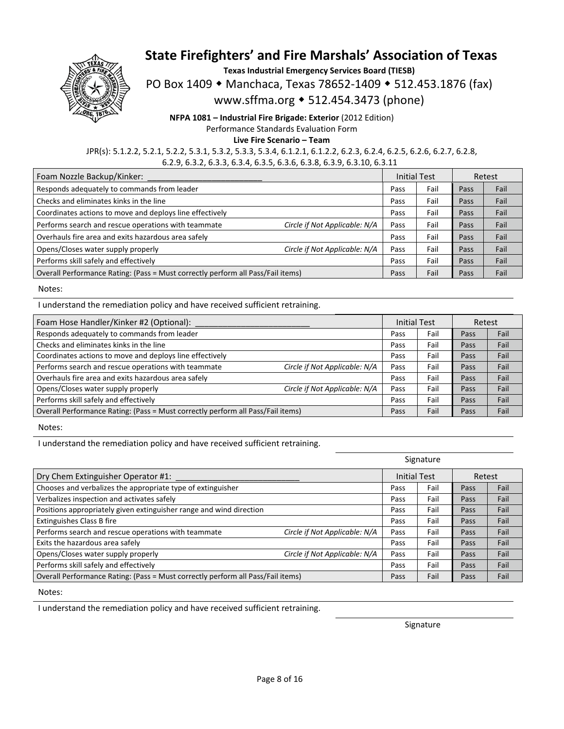

**Texas Industrial Emergency Services Board (TIESB)** 

PO Box 1409 • Manchaca, Texas 78652-1409 • 512.453.1876 (fax)

www.sffma.org 512.454.3473 (phone)

**NFPA 1081 – Industrial Fire Brigade: Exterior** (2012 Edition) Performance Standards Evaluation Form **Live Fire Scenario – Team** 

JPR(s): 5.1.2.2, 5.2.1, 5.2.2, 5.3.1, 5.3.2, 5.3.3, 5.3.4, 6.1.2.1, 6.1.2.2, 6.2.3, 6.2.4, 6.2.5, 6.2.6, 6.2.7, 6.2.8, 6.2.9, 6.3.2, 6.3.3, 6.3.4, 6.3.5, 6.3.6, 6.3.8, 6.3.9, 6.3.10, 6.3.11

| Foam Nozzle Backup/Kinker:                                                      |                               | <b>Initial Test</b> |      | Retest |      |
|---------------------------------------------------------------------------------|-------------------------------|---------------------|------|--------|------|
| Responds adequately to commands from leader                                     |                               | Pass                | Fail | Pass   | Fail |
| Checks and eliminates kinks in the line                                         |                               | Pass                | Fail | Pass   | Fail |
| Coordinates actions to move and deploys line effectively                        |                               | Pass                | Fail | Pass   | Fail |
| Performs search and rescue operations with teammate                             | Circle if Not Applicable: N/A | Pass                | Fail | Pass   | Fail |
| Overhauls fire area and exits hazardous area safely                             |                               | Pass                | Fail | Pass   | Fail |
| Opens/Closes water supply properly                                              | Circle if Not Applicable: N/A | Pass                | Fail | Pass   | Fail |
| Performs skill safely and effectively                                           |                               | Pass                | Fail | Pass   | Fail |
| Overall Performance Rating: (Pass = Must correctly perform all Pass/Fail items) |                               | Pass                | Fail | Pass   | Fail |

Notes:

I understand the remediation policy and have received sufficient retraining.

| Foam Hose Handler/Kinker #2 (Optional):                                         |                               | <b>Initial Test</b> |      | Retest |      |
|---------------------------------------------------------------------------------|-------------------------------|---------------------|------|--------|------|
| Responds adequately to commands from leader                                     |                               | Pass                | Fail | Pass   | Fail |
| Checks and eliminates kinks in the line                                         |                               | Pass                | Fail | Pass   | Fail |
| Coordinates actions to move and deploys line effectively                        |                               | Pass                | Fail | Pass   | Fail |
| Performs search and rescue operations with teammate                             | Circle if Not Applicable: N/A | Pass                | Fail | Pass   | Fail |
| Overhauls fire area and exits hazardous area safely                             |                               | Pass                | Fail | Pass   | Fail |
| Opens/Closes water supply properly                                              | Circle if Not Applicable: N/A | Pass                | Fail | Pass   | Fail |
| Performs skill safely and effectively                                           |                               | Pass                | Fail | Pass   | Fail |
| Overall Performance Rating: (Pass = Must correctly perform all Pass/Fail items) |                               | Pass                | Fail | Pass   | Fail |

Notes:

I understand the remediation policy and have received sufficient retraining.

|                                                                                 |                               | Signature           |      |        |      |
|---------------------------------------------------------------------------------|-------------------------------|---------------------|------|--------|------|
| Dry Chem Extinguisher Operator #1:                                              |                               | <b>Initial Test</b> |      | Retest |      |
| Chooses and verbalizes the appropriate type of extinguisher                     |                               | Pass                | Fail | Pass   | Fail |
| Verbalizes inspection and activates safely                                      |                               | Pass                | Fail | Pass   | Fail |
| Positions appropriately given extinguisher range and wind direction             |                               | Pass                | Fail | Pass   | Fail |
| Extinguishes Class B fire                                                       |                               | Pass                | Fail | Pass   | Fail |
| Performs search and rescue operations with teammate                             | Circle if Not Applicable: N/A | Pass                | Fail | Pass   | Fail |
| Exits the hazardous area safely                                                 |                               | Pass                | Fail | Pass   | Fail |
| Opens/Closes water supply properly                                              | Circle if Not Applicable: N/A | Pass                | Fail | Pass   | Fail |
| Performs skill safely and effectively                                           |                               | Pass                | Fail | Pass   | Fail |
| Overall Performance Rating: (Pass = Must correctly perform all Pass/Fail items) |                               | Pass                | Fail | Pass   | Fail |

Notes:

I understand the remediation policy and have received sufficient retraining.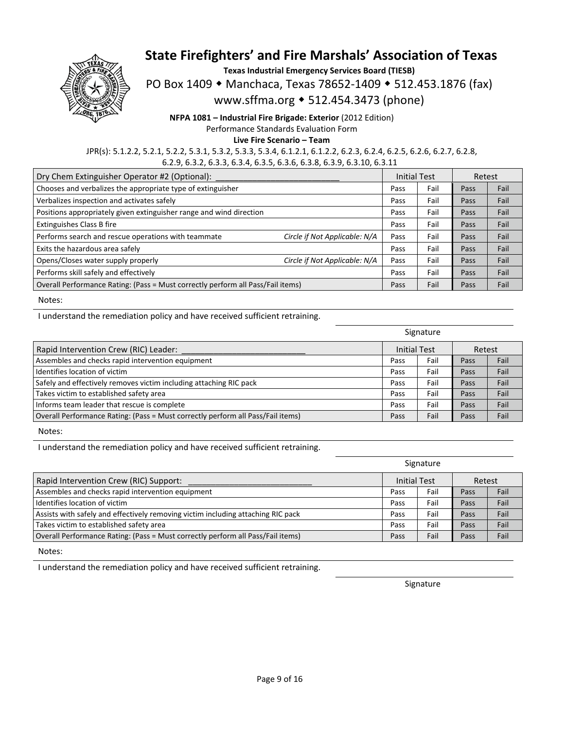

**Texas Industrial Emergency Services Board (TIESB)** 

PO Box 1409 • Manchaca, Texas 78652-1409 • 512.453.1876 (fax)

www.sffma.org 512.454.3473 (phone)

**NFPA 1081 – Industrial Fire Brigade: Exterior** (2012 Edition) Performance Standards Evaluation Form

**Live Fire Scenario – Team** 

JPR(s): 5.1.2.2, 5.2.1, 5.2.2, 5.3.1, 5.3.2, 5.3.3, 5.3.4, 6.1.2.1, 6.1.2.2, 6.2.3, 6.2.4, 6.2.5, 6.2.6, 6.2.7, 6.2.8, 6.2.9, 6.3.2, 6.3.3, 6.3.4, 6.3.5, 6.3.6, 6.3.8, 6.3.9, 6.3.10, 6.3.11

| Dry Chem Extinguisher Operator #2 (Optional):                                   |                               | <b>Initial Test</b> |      | Retest |      |
|---------------------------------------------------------------------------------|-------------------------------|---------------------|------|--------|------|
| Chooses and verbalizes the appropriate type of extinguisher                     |                               | Pass                | Fail | Pass   | Fail |
| Verbalizes inspection and activates safely                                      |                               | Pass                | Fail | Pass   | Fail |
| Positions appropriately given extinguisher range and wind direction             |                               | Pass                | Fail | Pass   | Fail |
| <b>Extinguishes Class B fire</b>                                                |                               | Pass                | Fail | Pass   | Fail |
| Performs search and rescue operations with teammate                             | Circle if Not Applicable: N/A | Pass                | Fail | Pass   | Fail |
| Exits the hazardous area safely                                                 |                               | Pass                | Fail | Pass   | Fail |
| Opens/Closes water supply properly                                              | Circle if Not Applicable: N/A | Pass                | Fail | Pass   | Fail |
| Performs skill safely and effectively                                           |                               | Pass                | Fail | Pass   | Fail |
| Overall Performance Rating: (Pass = Must correctly perform all Pass/Fail items) |                               | Pass                | Fail | Pass   | Fail |

Notes:

I understand the remediation policy and have received sufficient retraining.

|                                                                                 |                     | Signature |        |      |
|---------------------------------------------------------------------------------|---------------------|-----------|--------|------|
| Rapid Intervention Crew (RIC) Leader:                                           | <b>Initial Test</b> |           | Retest |      |
| Assembles and checks rapid intervention equipment                               | Pass                | Fail      | Pass   | Fail |
| Identifies location of victim                                                   | Pass                | Fail      | Pass   | Fail |
| Safely and effectively removes victim including attaching RIC pack              | Pass                | Fail      | Pass   | Fail |
| Takes victim to established safety area                                         | Pass                | Fail      | Pass   | Fail |
| Informs team leader that rescue is complete                                     | Pass                | Fail      | Pass   | Fail |
| Overall Performance Rating: (Pass = Must correctly perform all Pass/Fail items) | Pass                | Fail      | Pass   | Fail |

Notes:

I understand the remediation policy and have received sufficient retraining.

|                                                                                  |      | Signature    |      |        |
|----------------------------------------------------------------------------------|------|--------------|------|--------|
| Rapid Intervention Crew (RIC) Support:                                           |      | Initial Test |      | Retest |
| Assembles and checks rapid intervention equipment                                | Pass | Fail         | Pass | Fail   |
| Identifies location of victim                                                    | Pass | Fail         | Pass | Fail   |
| Assists with safely and effectively removing victim including attaching RIC pack | Pass | Fail         | Pass | Fail   |
| Takes victim to established safety area                                          | Pass | Fail         | Pass | Fail   |
| Overall Performance Rating: (Pass = Must correctly perform all Pass/Fail items)  | Pass | Fail         | Pass | Fail   |

Notes:

I understand the remediation policy and have received sufficient retraining.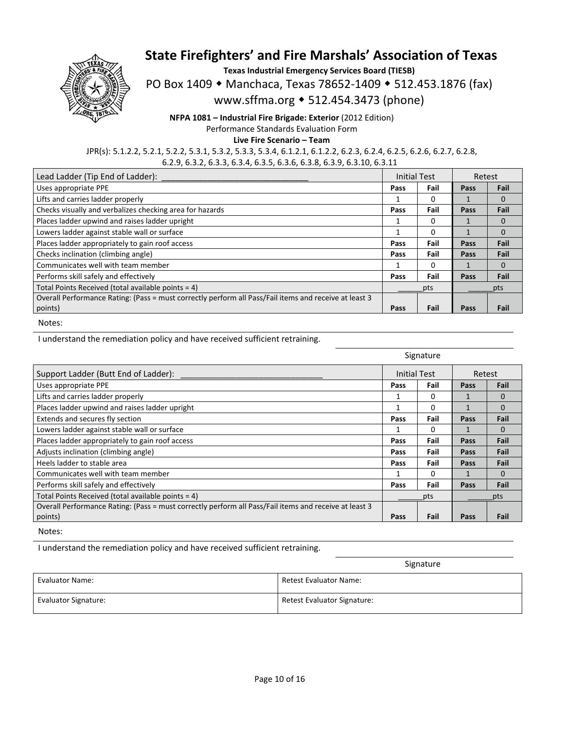

**Texas Industrial Emergency Services Board (TIESB)** 

PO Box 1409 • Manchaca, Texas 78652-1409 • 512.453.1876 (fax)

www.sffma.org 512.454.3473 (phone)

**NFPA 1081 – Industrial Fire Brigade: Exterior** (2012 Edition) Performance Standards Evaluation Form **Live Fire Scenario – Team** 

JPR(s): 5.1.2.2, 5.2.1, 5.2.2, 5.3.1, 5.3.2, 5.3.3, 5.3.4, 6.1.2.1, 6.1.2.2, 6.2.3, 6.2.4, 6.2.5, 6.2.6, 6.2.7, 6.2.8, 6.2.9, 6.3.2, 6.3.3, 6.3.4, 6.3.5, 6.3.6, 6.3.8, 6.3.9, 6.3.10, 6.3.11

| Lead Ladder (Tip End of Ladder):                                                                      | <b>Initial Test</b> |      | Retest |          |
|-------------------------------------------------------------------------------------------------------|---------------------|------|--------|----------|
| Uses appropriate PPE                                                                                  | Pass                | Fail | Pass   | Fail     |
| Lifts and carries ladder properly                                                                     |                     | 0    |        | $\Omega$ |
| Checks visually and verbalizes checking area for hazards                                              | Pass                | Fail | Pass   | Fail     |
| Places ladder upwind and raises ladder upright                                                        |                     | 0    |        | 0        |
| Lowers ladder against stable wall or surface                                                          |                     | o    |        | $\Omega$ |
| Places ladder appropriately to gain roof access                                                       | Pass                | Fail | Pass   | Fail     |
| Checks inclination (climbing angle)                                                                   | Pass                | Fail | Pass   | Fail     |
| Communicates well with team member                                                                    |                     | 0    |        | $\Omega$ |
| Performs skill safely and effectively                                                                 | Pass                | Fail | Pass   | Fail     |
| Total Points Received (total available points = 4)                                                    | pts                 |      |        | pts      |
| Overall Performance Rating: (Pass = must correctly perform all Pass/Fail items and receive at least 3 |                     |      |        |          |
| points)                                                                                               | Pass                | Fail | Pass   | Fail     |

Notes:

I understand the remediation policy and have received sufficient retraining.

|                                                                                                       | Signature                     |      |      |          |
|-------------------------------------------------------------------------------------------------------|-------------------------------|------|------|----------|
| Support Ladder (Butt End of Ladder):                                                                  | <b>Initial Test</b><br>Retest |      |      |          |
| Uses appropriate PPE                                                                                  | Pass                          | Fail | Pass | Fail     |
| Lifts and carries ladder properly                                                                     |                               | 0    |      | $\Omega$ |
| Places ladder upwind and raises ladder upright                                                        | 1                             | 0    |      | $\Omega$ |
| Extends and secures fly section                                                                       | Pass                          | Fail | Pass | Fail     |
| Lowers ladder against stable wall or surface                                                          |                               | 0    |      | $\Omega$ |
| Places ladder appropriately to gain roof access                                                       | Pass                          | Fail | Pass | Fail     |
| Adjusts inclination (climbing angle)                                                                  | Pass                          | Fail | Pass | Fail     |
| Heels ladder to stable area                                                                           | Pass                          | Fail | Pass | Fail     |
| Communicates well with team member                                                                    |                               | o    | 1    | $\Omega$ |
| Performs skill safely and effectively                                                                 | Pass                          | Fail | Pass | Fail     |
| Total Points Received (total available points = 4)                                                    | pts                           |      | pts  |          |
| Overall Performance Rating: (Pass = must correctly perform all Pass/Fail items and receive at least 3 |                               |      |      |          |
| points)                                                                                               | Pass                          | Fail | Pass | Fail     |

Notes:

I understand the remediation policy and have received sufficient retraining.

|                             | Signature                     |
|-----------------------------|-------------------------------|
| <b>Evaluator Name:</b>      | <b>Retest Evaluator Name:</b> |
| <b>Evaluator Signature:</b> | Retest Evaluator Signature:   |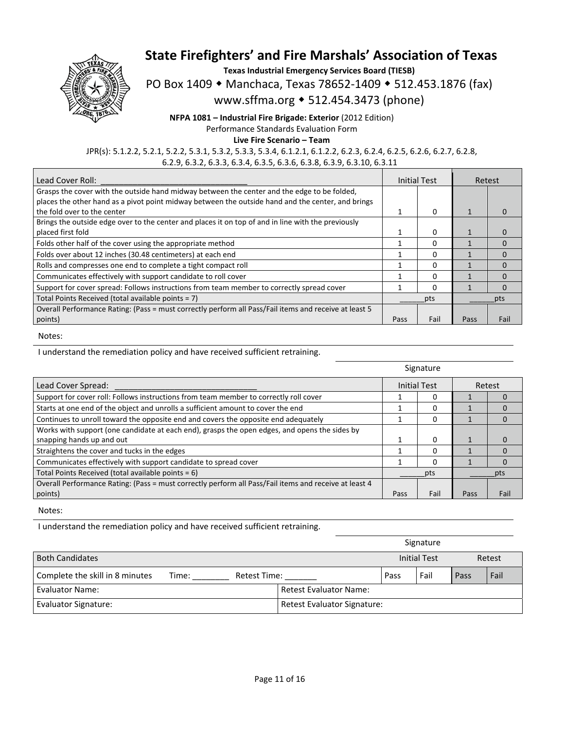

**Texas Industrial Emergency Services Board (TIESB)** 

PO Box 1409 • Manchaca, Texas 78652-1409 • 512.453.1876 (fax)

www.sffma.org 512.454.3473 (phone)

**NFPA 1081 – Industrial Fire Brigade: Exterior** (2012 Edition)

Performance Standards Evaluation Form

**Live Fire Scenario – Team** 

JPR(s): 5.1.2.2, 5.2.1, 5.2.2, 5.3.1, 5.3.2, 5.3.3, 5.3.4, 6.1.2.1, 6.1.2.2, 6.2.3, 6.2.4, 6.2.5, 6.2.6, 6.2.7, 6.2.8, 6.2.9, 6.3.2, 6.3.3, 6.3.4, 6.3.5, 6.3.6, 6.3.8, 6.3.9, 6.3.10, 6.3.11

| Lead Cover Roll:                                                                                      | Initial Test |      | Retest                   |              |
|-------------------------------------------------------------------------------------------------------|--------------|------|--------------------------|--------------|
| Grasps the cover with the outside hand midway between the center and the edge to be folded,           |              |      |                          |              |
| places the other hand as a pivot point midway between the outside hand and the center, and brings     |              |      |                          |              |
| the fold over to the center                                                                           |              | 0    |                          |              |
| Brings the outside edge over to the center and places it on top of and in line with the previously    |              |      |                          |              |
| placed first fold                                                                                     |              | 0    |                          |              |
| Folds other half of the cover using the appropriate method                                            |              | 0    |                          | <sup>0</sup> |
| Folds over about 12 inches (30.48 centimeters) at each end                                            |              | 0    |                          |              |
| Rolls and compresses one end to complete a tight compact roll                                         |              | O    | $\overline{\phantom{a}}$ |              |
| Communicates effectively with support candidate to roll cover                                         |              | O    |                          |              |
| Support for cover spread: Follows instructions from team member to correctly spread cover             |              | 0    |                          |              |
| Total Points Received (total available points = 7)                                                    | pts          |      |                          | pts          |
| Overall Performance Rating: (Pass = must correctly perform all Pass/Fail items and receive at least 5 |              |      |                          |              |
| points)                                                                                               | Pass         | Fail | Pass                     | Fail         |

Notes:

I understand the remediation policy and have received sufficient retraining.

|                                                                                                       | Signature                     |      |      |      |
|-------------------------------------------------------------------------------------------------------|-------------------------------|------|------|------|
| Lead Cover Spread:                                                                                    | <b>Initial Test</b><br>Retest |      |      |      |
| Support for cover roll: Follows instructions from team member to correctly roll cover                 |                               |      |      |      |
| Starts at one end of the object and unrolls a sufficient amount to cover the end                      |                               | O    |      |      |
| Continues to unroll toward the opposite end and covers the opposite end adequately                    |                               | 0    |      | 0    |
| Works with support (one candidate at each end), grasps the open edges, and opens the sides by         |                               |      |      |      |
| snapping hands up and out                                                                             |                               | 0    |      |      |
| Straightens the cover and tucks in the edges                                                          |                               |      |      |      |
| Communicates effectively with support candidate to spread cover                                       |                               |      |      |      |
| Total Points Received (total available points = 6)                                                    | pts                           |      | pts  |      |
| Overall Performance Rating: (Pass = must correctly perform all Pass/Fail items and receive at least 4 |                               |      |      |      |
| points)                                                                                               | Pass                          | Fail | Pass | Fail |

Notes:

I understand the remediation policy and have received sufficient retraining.

|                                 |                       |  |                               |      | Signature |      |  |
|---------------------------------|-----------------------|--|-------------------------------|------|-----------|------|--|
| <b>Both Candidates</b>          |                       |  | <b>Initial Test</b>           |      | Retest    |      |  |
| Complete the skill in 8 minutes | Retest Time:<br>Time: |  | Pass                          | Fail | Pass      | Fail |  |
| Evaluator Name:                 |                       |  | <b>Retest Evaluator Name:</b> |      |           |      |  |
| <b>Evaluator Signature:</b>     |                       |  | Retest Evaluator Signature:   |      |           |      |  |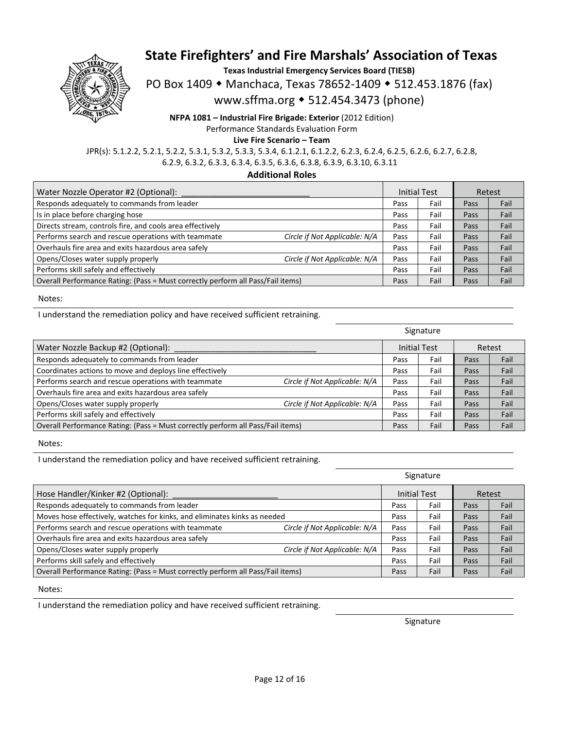

**Texas Industrial Emergency Services Board (TIESB)** 

PO Box 1409 • Manchaca, Texas 78652-1409 • 512.453.1876 (fax)

www.sffma.org 512.454.3473 (phone)

**NFPA 1081 – Industrial Fire Brigade: Exterior** (2012 Edition) Performance Standards Evaluation Form

**Live Fire Scenario – Team** 

JPR(s): 5.1.2.2, 5.2.1, 5.2.2, 5.3.1, 5.3.2, 5.3.3, 5.3.4, 6.1.2.1, 6.1.2.2, 6.2.3, 6.2.4, 6.2.5, 6.2.6, 6.2.7, 6.2.8, 6.2.9, 6.3.2, 6.3.3, 6.3.4, 6.3.5, 6.3.6, 6.3.8, 6.3.9, 6.3.10, 6.3.11

**Additional Roles** 

| Water Nozzle Operator #2 (Optional):                                            |                               | <b>Initial Test</b> |      | Retest |      |
|---------------------------------------------------------------------------------|-------------------------------|---------------------|------|--------|------|
| Responds adequately to commands from leader                                     |                               | Pass                | Fail | Pass   | Fail |
| Is in place before charging hose                                                |                               | Pass                | Fail | Pass   | Fail |
| Directs stream, controls fire, and cools area effectively                       |                               | Pass                | Fail | Pass   | Fail |
| Performs search and rescue operations with teammate                             | Circle if Not Applicable: N/A | Pass                | Fail | Pass   | Fail |
| Overhauls fire area and exits hazardous area safely                             |                               | Pass                | Fail | Pass   | Fail |
| Opens/Closes water supply properly                                              | Circle if Not Applicable: N/A | Pass                | Fail | Pass   | Fail |
| Performs skill safely and effectively                                           |                               | Pass                | Fail | Pass   | Fail |
| Overall Performance Rating: (Pass = Must correctly perform all Pass/Fail items) |                               | Pass                | Fail | Pass   | Fail |

Notes:

I understand the remediation policy and have received sufficient retraining.

|                                                                                 |                               | Signature |                     |      |        |
|---------------------------------------------------------------------------------|-------------------------------|-----------|---------------------|------|--------|
| Water Nozzle Backup #2 (Optional):                                              |                               |           | <b>Initial Test</b> |      | Retest |
| Responds adequately to commands from leader                                     |                               | Pass      | Fail                | Pass | Fail   |
| Coordinates actions to move and deploys line effectively                        |                               | Pass      | Fail                | Pass | Fail   |
| Performs search and rescue operations with teammate                             | Circle if Not Applicable: N/A | Pass      | Fail                | Pass | Fail   |
| Overhauls fire area and exits hazardous area safely                             |                               | Pass      | Fail                | Pass | Fail   |
| Opens/Closes water supply properly                                              | Circle if Not Applicable: N/A | Pass      | Fail                | Pass | Fail   |
| Performs skill safely and effectively                                           |                               | Pass      | Fail                | Pass | Fail   |
| Overall Performance Rating: (Pass = Must correctly perform all Pass/Fail items) |                               | Pass      | Fail                | Pass | Fail   |

Notes:

I understand the remediation policy and have received sufficient retraining.

|                                                                                 |                               | Signature |                     |        |      |
|---------------------------------------------------------------------------------|-------------------------------|-----------|---------------------|--------|------|
| Hose Handler/Kinker #2 (Optional):                                              |                               |           | <b>Initial Test</b> | Retest |      |
| Responds adequately to commands from leader                                     |                               | Pass      | Fail                | Pass   | Fail |
| Moves hose effectively, watches for kinks, and eliminates kinks as needed       |                               | Pass      | Fail                | Pass   | Fail |
| Performs search and rescue operations with teammate                             | Circle if Not Applicable: N/A | Pass      | Fail                | Pass   | Fail |
| Overhauls fire area and exits hazardous area safely                             |                               | Pass      | Fail                | Pass   | Fail |
| Opens/Closes water supply properly                                              | Circle if Not Applicable: N/A | Pass      | Fail                | Pass   | Fail |
| Performs skill safely and effectively                                           |                               | Pass      | Fail                | Pass   | Fail |
| Overall Performance Rating: (Pass = Must correctly perform all Pass/Fail items) |                               | Pass      | Fail                | Pass   | Fail |

Notes:

I understand the remediation policy and have received sufficient retraining.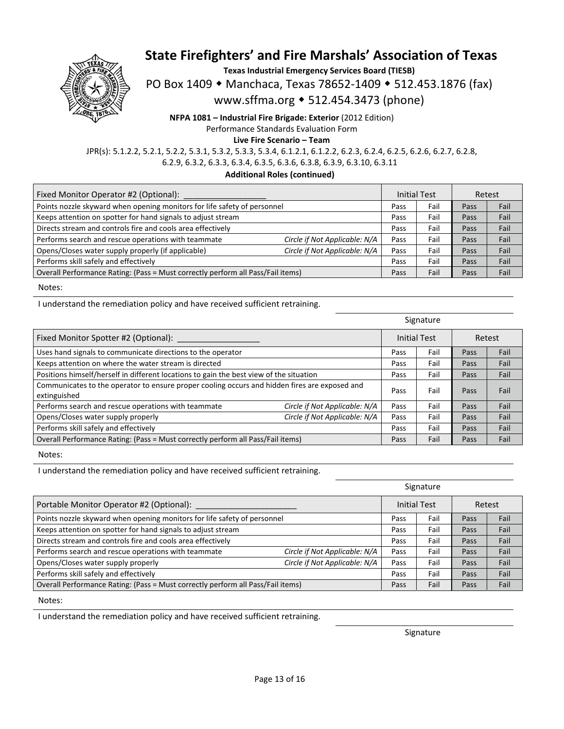

**Texas Industrial Emergency Services Board (TIESB)** 

PO Box 1409 • Manchaca, Texas 78652-1409 • 512.453.1876 (fax)

www.sffma.org 512.454.3473 (phone)

**NFPA 1081 – Industrial Fire Brigade: Exterior** (2012 Edition) Performance Standards Evaluation Form

**Live Fire Scenario – Team** 

JPR(s): 5.1.2.2, 5.2.1, 5.2.2, 5.3.1, 5.3.2, 5.3.3, 5.3.4, 6.1.2.1, 6.1.2.2, 6.2.3, 6.2.4, 6.2.5, 6.2.6, 6.2.7, 6.2.8, 6.2.9, 6.3.2, 6.3.3, 6.3.4, 6.3.5, 6.3.6, 6.3.8, 6.3.9, 6.3.10, 6.3.11

**Additional Roles (continued)** 

| Fixed Monitor Operator #2 (Optional):                                           |                               | <b>Initial Test</b> |      | Retest |      |
|---------------------------------------------------------------------------------|-------------------------------|---------------------|------|--------|------|
| Points nozzle skyward when opening monitors for life safety of personnel        |                               | Pass                | Fail | Pass   | Fail |
| Keeps attention on spotter for hand signals to adjust stream                    |                               | Pass                | Fail | Pass   | Fail |
| Directs stream and controls fire and cools area effectively                     |                               | Pass                | Fail | Pass   | Fail |
| Performs search and rescue operations with teammate                             | Circle if Not Applicable: N/A | Pass                | Fail | Pass   | Fail |
| Opens/Closes water supply properly (if applicable)                              | Circle if Not Applicable: N/A | Pass                | Fail | Pass   | Fail |
| Performs skill safely and effectively                                           |                               | Pass                | Fail | Pass   | Fail |
| Overall Performance Rating: (Pass = Must correctly perform all Pass/Fail items) |                               | Pass                | Fail | Pass   | Fail |

Notes:

I understand the remediation policy and have received sufficient retraining.

|                                                                                                               |                               | Signature |                     |        |      |
|---------------------------------------------------------------------------------------------------------------|-------------------------------|-----------|---------------------|--------|------|
| Fixed Monitor Spotter #2 (Optional):                                                                          |                               |           | <b>Initial Test</b> | Retest |      |
| Uses hand signals to communicate directions to the operator                                                   |                               | Pass      | Fail                | Pass   | Fail |
| Keeps attention on where the water stream is directed                                                         |                               | Pass      | Fail                | Pass   | Fail |
| Positions himself/herself in different locations to gain the best view of the situation                       |                               | Pass      | Fail                | Pass   | Fail |
| Communicates to the operator to ensure proper cooling occurs and hidden fires are exposed and<br>extinguished |                               | Pass      | Fail                | Pass   | Fail |
| Performs search and rescue operations with teammate                                                           | Circle if Not Applicable: N/A | Pass      | Fail                | Pass   | Fail |
| Opens/Closes water supply properly                                                                            | Circle if Not Applicable: N/A | Pass      | Fail                | Pass   | Fail |
| Performs skill safely and effectively                                                                         |                               | Pass      | Fail                | Pass   | Fail |
| Overall Performance Rating: (Pass = Must correctly perform all Pass/Fail items)                               |                               | Pass      | Fail                | Pass   | Fail |

Notes:

I understand the remediation policy and have received sufficient retraining.

|                                                                                 |                               | Signature |                     |      |        |
|---------------------------------------------------------------------------------|-------------------------------|-----------|---------------------|------|--------|
| Portable Monitor Operator #2 (Optional):                                        |                               |           | <b>Initial Test</b> |      | Retest |
| Points nozzle skyward when opening monitors for life safety of personnel        |                               | Pass      | Fail                | Pass | Fail   |
| Keeps attention on spotter for hand signals to adjust stream                    |                               | Pass      | Fail                | Pass | Fail   |
| Directs stream and controls fire and cools area effectively                     |                               | Pass      | Fail                | Pass | Fail   |
| Performs search and rescue operations with teammate                             | Circle if Not Applicable: N/A | Pass      | Fail                | Pass | Fail   |
| Opens/Closes water supply properly                                              | Circle if Not Applicable: N/A | Pass      | Fail                | Pass | Fail   |
| Performs skill safely and effectively                                           |                               | Pass      | Fail                | Pass | Fail   |
| Overall Performance Rating: (Pass = Must correctly perform all Pass/Fail items) |                               | Pass      | Fail                | Pass | Fail   |

Notes:

I understand the remediation policy and have received sufficient retraining.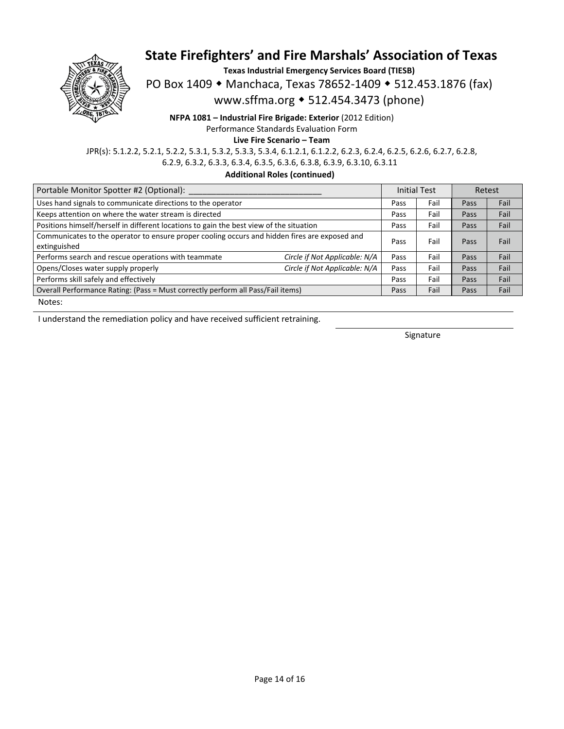

**Texas Industrial Emergency Services Board (TIESB)** 

PO Box 1409 • Manchaca, Texas 78652-1409 • 512.453.1876 (fax)

www.sffma.org 512.454.3473 (phone)

**NFPA 1081 – Industrial Fire Brigade: Exterior** (2012 Edition)

Performance Standards Evaluation Form

**Live Fire Scenario – Team** 

JPR(s): 5.1.2.2, 5.2.1, 5.2.2, 5.3.1, 5.3.2, 5.3.3, 5.3.4, 6.1.2.1, 6.1.2.2, 6.2.3, 6.2.4, 6.2.5, 6.2.6, 6.2.7, 6.2.8, 6.2.9, 6.3.2, 6.3.3, 6.3.4, 6.3.5, 6.3.6, 6.3.8, 6.3.9, 6.3.10, 6.3.11

**Additional Roles (continued)** 

| Portable Monitor Spotter #2 (Optional):                                                                       |      |                                              | Retest              |      |
|---------------------------------------------------------------------------------------------------------------|------|----------------------------------------------|---------------------|------|
| Uses hand signals to communicate directions to the operator                                                   |      | Fail                                         | Pass                | Fail |
| Keeps attention on where the water stream is directed                                                         |      | Fail                                         | Pass                | Fail |
| Positions himself/herself in different locations to gain the best view of the situation                       |      | Fail                                         | Pass                | Fail |
| Communicates to the operator to ensure proper cooling occurs and hidden fires are exposed and<br>extinguished |      | Fail                                         | Pass                | Fail |
| Circle if Not Applicable: N/A                                                                                 | Pass | Fail                                         | Pass                | Fail |
| Circle if Not Applicable: N/A                                                                                 | Pass | Fail                                         | Pass                | Fail |
| Performs skill safely and effectively                                                                         |      | Fail                                         | Pass                | Fail |
| Overall Performance Rating: (Pass = Must correctly perform all Pass/Fail items)                               |      | Fail                                         | Pass                | Fail |
|                                                                                                               |      | Pass<br>Pass<br>Pass<br>Pass<br>Pass<br>Pass | <b>Initial Test</b> |      |

Notes:

I understand the remediation policy and have received sufficient retraining.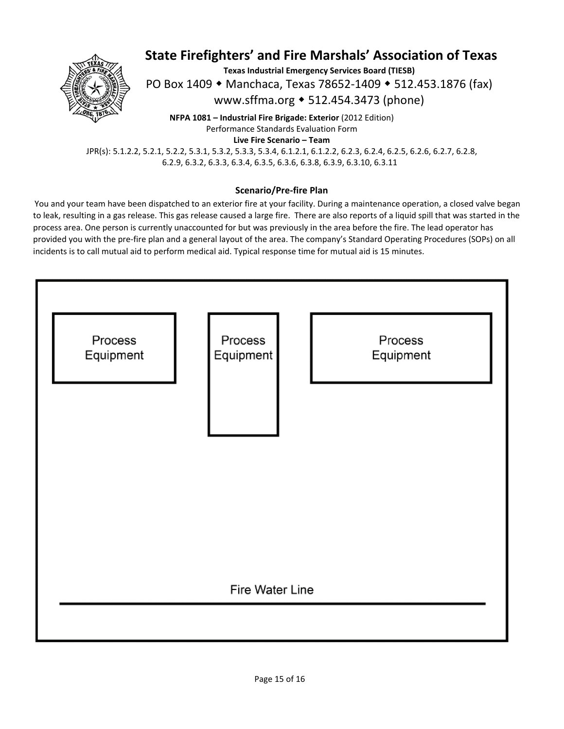

**Texas Industrial Emergency Services Board (TIESB)** 

PO Box 1409 • Manchaca, Texas 78652-1409 • 512.453.1876 (fax)

www.sffma.org 512.454.3473 (phone)

**NFPA 1081 – Industrial Fire Brigade: Exterior** (2012 Edition) Performance Standards Evaluation Form **Live Fire Scenario – Team** 

JPR(s): 5.1.2.2, 5.2.1, 5.2.2, 5.3.1, 5.3.2, 5.3.3, 5.3.4, 6.1.2.1, 6.1.2.2, 6.2.3, 6.2.4, 6.2.5, 6.2.6, 6.2.7, 6.2.8, 6.2.9, 6.3.2, 6.3.3, 6.3.4, 6.3.5, 6.3.6, 6.3.8, 6.3.9, 6.3.10, 6.3.11

#### **Scenario/Pre‐fire Plan**

 You and your team have been dispatched to an exterior fire at your facility. During a maintenance operation, a closed valve began to leak, resulting in a gas release. This gas release caused a large fire. There are also reports of a liquid spill that was started in the process area. One person is currently unaccounted for but was previously in the area before the fire. The lead operator has provided you with the pre‐fire plan and a general layout of the area. The company's Standard Operating Procedures (SOPs) on all incidents is to call mutual aid to perform medical aid. Typical response time for mutual aid is 15 minutes.